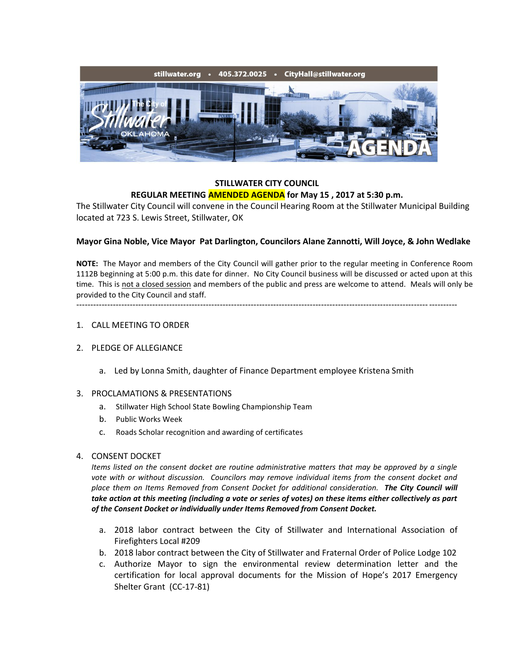

### **STILLWATER CITY COUNCIL REGULAR MEETING AMENDED AGENDA for May 15 , 2017 at 5:30 p.m.**

The Stillwater City Council will convene in the Council Hearing Room at the Stillwater Municipal Building located at 723 S. Lewis Street, Stillwater, OK

# **Mayor Gina Noble, Vice Mayor Pat Darlington, Councilors Alane Zannotti, Will Joyce, & John Wedlake**

**NOTE:** The Mayor and members of the City Council will gather prior to the regular meeting in Conference Room 1112B beginning at 5:00 p.m. this date for dinner. No City Council business will be discussed or acted upon at this time. This is not a closed session and members of the public and press are welcome to attend. Meals will only be provided to the City Council and staff.

#### ---------------------------------------------------------------------------------------------------------------------------------------

#### 1. CALL MEETING TO ORDER

#### 2. PLEDGE OF ALLEGIANCE

a. Led by Lonna Smith, daughter of Finance Department employee Kristena Smith

#### 3. PROCLAMATIONS & PRESENTATIONS

- a. Stillwater High School State Bowling Championship Team
- b. Public Works Week
- c. Roads Scholar recognition and awarding of certificates

#### 4. CONSENT DOCKET

*Items listed on the consent docket are routine administrative matters that may be approved by a single*  vote with or without discussion. Councilors may remove individual items from the consent docket and *place them on Items Removed from Consent Docket for additional consideration. The City Council will take action at this meeting (including a vote or series of votes) on these items either collectively as part of the Consent Docket or individually under Items Removed from Consent Docket.*

- a. 2018 labor contract between the City of Stillwater and International Association of Firefighters Local #209
- b. 2018 labor contract between the City of Stillwater and Fraternal Order of Police Lodge 102
- c. Authorize Mayor to sign the environmental review determination letter and the certification for local approval documents for the Mission of Hope's 2017 Emergency Shelter Grant (CC-17-81)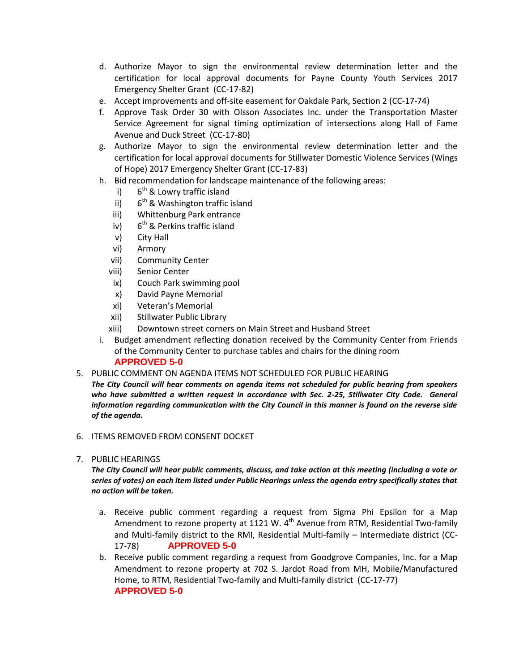- d. Authorize Mayor to sign the environmental review determination letter and the certification for local approval documents for Payne County Youth Services 2017 Emergency Shelter Grant (CC-17-82)
- e. Accept improvements and off-site easement for Oakdale Park, Section 2 (CC-17-74)
- f. Approve Task Order 30 with Olsson Associates Inc. under the Transportation Master Service Agreement for signal timing optimization of intersections along Hall of Fame Avenue and Duck Street (CC-17-80)
- g. Authorize Mayor to sign the environmental review determination letter and the certification for local approval documents for Stillwater Domestic Violence Services (Wings of Hope) 2017 Emergency Shelter Grant (CC-17-83)
- h. Bid recommendation for landscape maintenance of the following areas:
	- $i)$  $6<sup>th</sup>$  & Lowry traffic island
	- ii)  $6<sup>th</sup>$  & Washington traffic island
	- iii) Whittenburg Park entrance
	- iv)  $6<sup>th</sup>$  & Perkins traffic island
	- v) City Hall
	- vi) Armory
	- vii) Community Center
	- viii) Senior Center
	- ix) Couch Park swimming pool
	- x) David Payne Memorial
	- xi) Veteran's Memorial
	- xii) Stillwater Public Library
	- xiii) Downtown street corners on Main Street and Husband Street
- i. Budget amendment reflecting donation received by the Community Center from Friends of the Community Center to purchase tables and chairs for the dining room **APPROVED 5-0**
- 5. PUBLIC COMMENT ON AGENDA ITEMS NOT SCHEDULED FOR PUBLIC HEARING
- *The City Council will hear comments on agenda items not scheduled for public hearing from speakers*  who have submitted a written request in accordance with Sec. 2-25, Stillwater City Code. General *information regarding communication with the City Council in this manner is found on the reverse side of the agenda.*
- 6. ITEMS REMOVED FROM CONSENT DOCKET
- 7. PUBLIC HEARINGS

*The City Council will hear public comments, discuss, and take action at this meeting (including a vote or series of votes) on each item listed under Public Hearings unless the agenda entry specifically states that no action will be taken.*

- a. Receive public comment regarding a request from Sigma Phi Epsilon for a Map Amendment to rezone property at 1121 W.  $4<sup>th</sup>$  Avenue from RTM, Residential Two-family and Multi-family district to the RMI, Residential Multi-family – Intermediate district (CC-17-78) **APPROVED 5-0**
- b. Receive public comment regarding a request from Goodgrove Companies, Inc. for a Map Amendment to rezone property at 702 S. Jardot Road from MH, Mobile/Manufactured Home, to RTM, Residential Two-family and Multi-family district (CC-17-77) **APPROVED 5-0**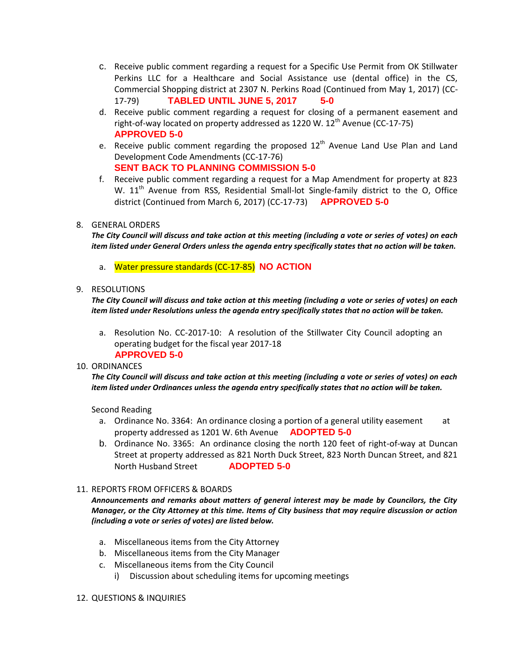- c. Receive public comment regarding a request for a Specific Use Permit from OK Stillwater Perkins LLC for a Healthcare and Social Assistance use (dental office) in the CS, Commercial Shopping district at 2307 N. Perkins Road (Continued from May 1, 2017) (CC-17-79) **TABLED UNTIL JUNE 5, 2017 5-0**
- d. Receive public comment regarding a request for closing of a permanent easement and right-of-way located on property addressed as 1220 W.  $12<sup>th</sup>$  Avenue (CC-17-75) **APPROVED 5-0**
- e. Receive public comment regarding the proposed 12<sup>th</sup> Avenue Land Use Plan and Land Development Code Amendments (CC-17-76) **SENT BACK TO PLANNING COMMISSION 5-0**
- f. Receive public comment regarding a request for a Map Amendment for property at 823 W. 11<sup>th</sup> Avenue from RSS, Residential Small-lot Single-family district to the O, Office district (Continued from March 6, 2017) (CC-17-73) **APPROVED 5-0**

# 8. GENERAL ORDERS

*The City Council will discuss and take action at this meeting (including a vote or series of votes) on each item listed under General Orders unless the agenda entry specifically states that no action will be taken.*

a. Water pressure standards (CC-17-85) **NO ACTION**

# 9. RESOLUTIONS

*The City Council will discuss and take action at this meeting (including a vote or series of votes) on each item listed under Resolutions unless the agenda entry specifically states that no action will be taken.*

a. Resolution No. CC-2017-10: A resolution of the Stillwater City Council adopting an operating budget for the fiscal year 2017-18  **APPROVED 5-0**

# 10. ORDINANCES

*The City Council will discuss and take action at this meeting (including a vote or series of votes) on each item listed under Ordinances unless the agenda entry specifically states that no action will be taken.*

Second Reading

- a. Ordinance No. 3364: An ordinance closing a portion of a general utility easement at property addressed as 1201 W. 6th Avenue **ADOPTED 5-0**
- b. Ordinance No. 3365: An ordinance closing the north 120 feet of right-of-way at Duncan Street at property addressed as 821 North Duck Street, 823 North Duncan Street, and 821 North Husband Street **ADOPTED 5-0**
- 11. REPORTS FROM OFFICERS & BOARDS

*Announcements and remarks about matters of general interest may be made by Councilors, the City Manager, or the City Attorney at this time. Items of City business that may require discussion or action (including a vote or series of votes) are listed below.*

- a. Miscellaneous items from the City Attorney
- b. Miscellaneous items from the City Manager
- c. Miscellaneous items from the City Council
	- i) Discussion about scheduling items for upcoming meetings

# 12. QUESTIONS & INQUIRIES